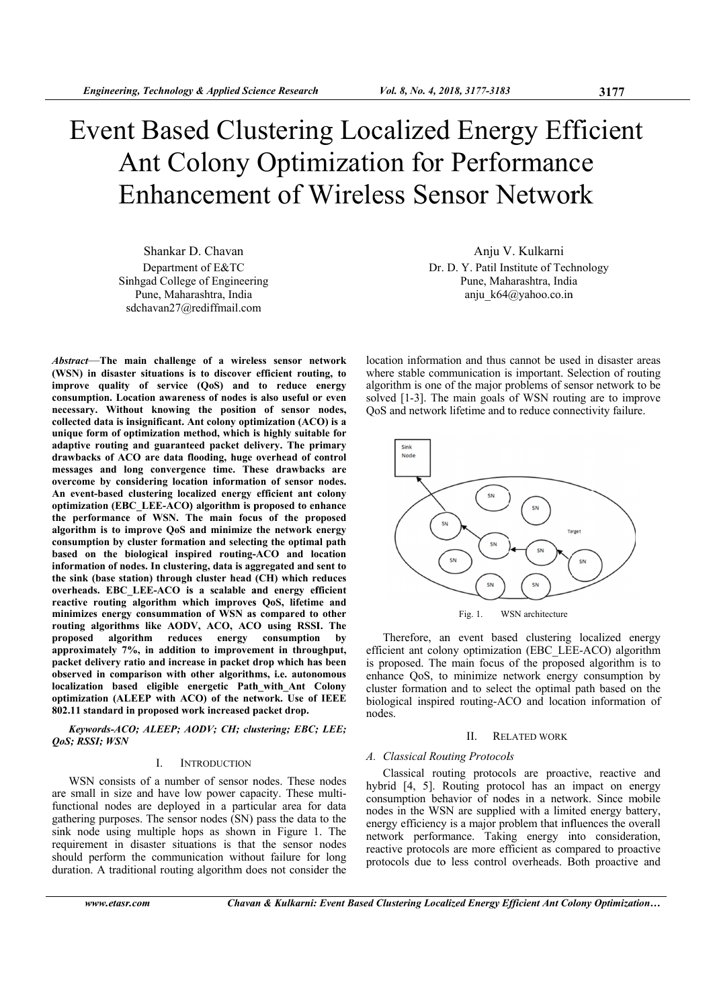# **Event Based Clustering Localized Energy Efficient** Ant Colony Optimization for Performance **Enhancement of Wireless Sensor Network**

Shankar D. Chavan Department of E&TC Sinhgad College of Engineering Pune, Maharashtra, India sdchavan27@rediffmail.com

Abstract-The main challenge of a wireless sensor network (WSN) in disaster situations is to discover efficient routing, to improve quality of service (QoS) and to reduce energy consumption. Location awareness of nodes is also useful or even necessary. Without knowing the position of sensor nodes, collected data is insignificant. Ant colony optimization (ACO) is a unique form of optimization method, which is highly suitable for adaptive routing and guaranteed packet delivery. The primary drawbacks of ACO are data flooding, huge overhead of control messages and long convergence time. These drawbacks are overcome by considering location information of sensor nodes. An event-based clustering localized energy efficient ant colony optimization (EBC\_LEE-ACO) algorithm is proposed to enhance the performance of WSN. The main focus of the proposed algorithm is to improve QoS and minimize the network energy consumption by cluster formation and selecting the optimal path based on the biological inspired routing-ACO and location information of nodes. In clustering, data is aggregated and sent to the sink (base station) through cluster head (CH) which reduces overheads. EBC LEE-ACO is a scalable and energy efficient reactive routing algorithm which improves QoS, lifetime and minimizes energy consummation of WSN as compared to other routing algorithms like AODV, ACO, ACO using RSSI. The proposed algorithm reduces energy consumption  $-**hv**$ approximately 7%, in addition to improvement in throughput, packet delivery ratio and increase in packet drop which has been observed in comparison with other algorithms, i.e. autonomous localization based eligible energetic Path\_with\_Ant Colony optimization (ALEEP with ACO) of the network. Use of IEEE 802.11 standard in proposed work increased packet drop.

Kevwords-ACO; ALEEP; AODV; CH; clustering; EBC; LEE; **OoS; RSSI; WSN** 

#### $\mathbf{L}$ **INTRODUCTION**

WSN consists of a number of sensor nodes. These nodes are small in size and have low power capacity. These multifunctional nodes are deployed in a particular area for data gathering purposes. The sensor nodes  $(SN)$  pass the data to the sink node using multiple hops as shown in Figure 1. The requirement in disaster situations is that the sensor nodes should perform the communication without failure for long duration. A traditional routing algorithm does not consider the

Anju V. Kulkarni Dr. D. Y. Patil Institute of Technology Pune, Maharashtra, India anju\_k64@yahoo.co.in

location information and thus cannot be used in disaster areas where stable communication is important. Selection of routing algorithm is one of the major problems of sensor network to be solved [1-3]. The main goals of WSN routing are to improve QoS and network lifetime and to reduce connectivity failure.



Therefore, an event based clustering localized energy efficient ant colony optimization (EBC LEE-ACO) algorithm is proposed. The main focus of the proposed algorithm is to enhance QoS, to minimize network energy consumption by cluster formation and to select the optimal path based on the biological inspired routing-ACO and location information of nodes

#### **RELATED WORK**  $\mathbf{H}$

# A. Classical Routing Protocols

Classical routing protocols are proactive, reactive and hybrid [4, 5]. Routing protocol has an impact on energy consumption behavior of nodes in a network. Since mobile nodes in the WSN are supplied with a limited energy battery, energy efficiency is a major problem that influences the overall network performance. Taking energy into consideration, reactive protocols are more efficient as compared to proactive protocols due to less control overheads. Both proactive and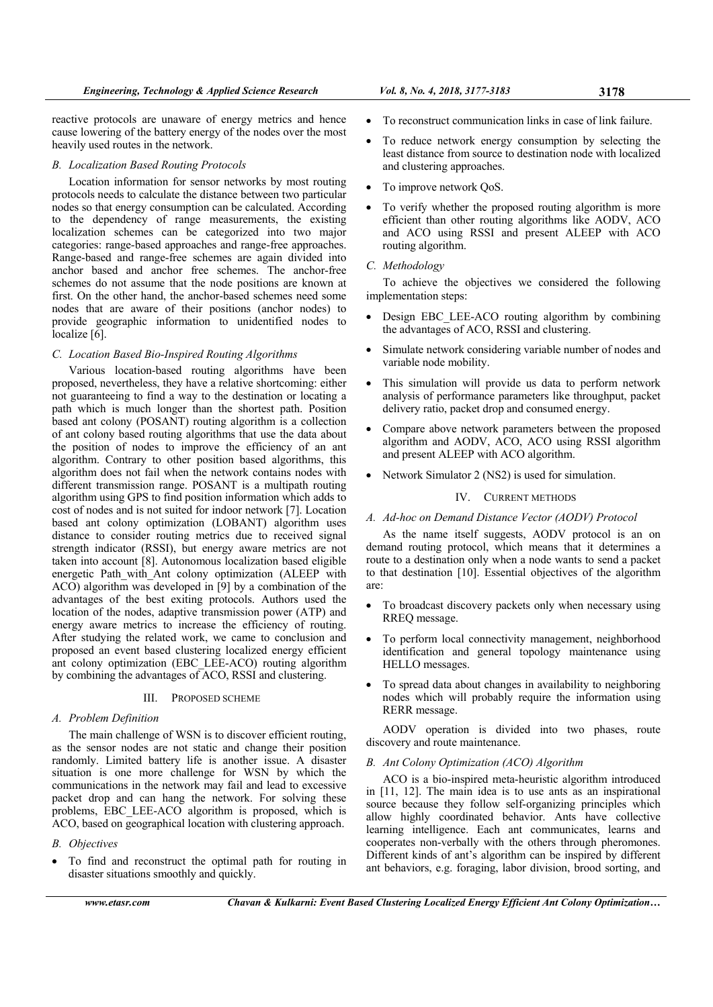reactive protocols are unaware of energy metrics and hence cause lowering of the battery energy of the nodes over the most heavily used routes in the network.

# *B. Localization Based Routing Protocols*

Location information for sensor networks by most routing protocols needs to calculate the distance between two particular nodes so that energy consumption can be calculated. According to the dependency of range measurements, the existing localization schemes can be categorized into two major categories: range-based approaches and range-free approaches. Range-based and range-free schemes are again divided into anchor based and anchor free schemes. The anchor-free schemes do not assume that the node positions are known at first. On the other hand, the anchor-based schemes need some nodes that are aware of their positions (anchor nodes) to provide geographic information to unidentified nodes to localize [6].

#### *C. Location Based Bio-Inspired Routing Algorithms*

Various location-based routing algorithms have been proposed, nevertheless, they have a relative shortcoming: either not guaranteeing to find a way to the destination or locating a path which is much longer than the shortest path. Position based ant colony (POSANT) routing algorithm is a collection of ant colony based routing algorithms that use the data about the position of nodes to improve the efficiency of an ant algorithm. Contrary to other position based algorithms, this algorithm does not fail when the network contains nodes with different transmission range. POSANT is a multipath routing algorithm using GPS to find position information which adds to cost of nodes and is not suited for indoor network [7]. Location based ant colony optimization (LOBANT) algorithm uses distance to consider routing metrics due to received signal strength indicator (RSSI), but energy aware metrics are not taken into account [8]. Autonomous localization based eligible energetic Path with Ant colony optimization (ALEEP with ACO) algorithm was developed in [9] by a combination of the advantages of the best exiting protocols. Authors used the location of the nodes, adaptive transmission power (ATP) and energy aware metrics to increase the efficiency of routing. After studying the related work, we came to conclusion and proposed an event based clustering localized energy efficient ant colony optimization (EBC LEE-ACO) routing algorithm by combining the advantages of ACO, RSSI and clustering.

#### III. PROPOSED SCHEME

#### *A. Problem Definition*

The main challenge of WSN is to discover efficient routing, as the sensor nodes are not static and change their position randomly. Limited battery life is another issue. A disaster situation is one more challenge for WSN by which the communications in the network may fail and lead to excessive packet drop and can hang the network. For solving these problems, EBC\_LEE-ACO algorithm is proposed, which is ACO, based on geographical location with clustering approach.

# *B. Objectives*

 To find and reconstruct the optimal path for routing in disaster situations smoothly and quickly.

- To reconstruct communication links in case of link failure.
- To reduce network energy consumption by selecting the least distance from source to destination node with localized and clustering approaches.
- To improve network QoS.
- To verify whether the proposed routing algorithm is more efficient than other routing algorithms like AODV, ACO and ACO using RSSI and present ALEEP with ACO routing algorithm.

#### *C. Methodology*

To achieve the objectives we considered the following implementation steps:

- Design EBC\_LEE-ACO routing algorithm by combining the advantages of ACO, RSSI and clustering.
- Simulate network considering variable number of nodes and variable node mobility.
- This simulation will provide us data to perform network analysis of performance parameters like throughput, packet delivery ratio, packet drop and consumed energy.
- Compare above network parameters between the proposed algorithm and AODV, ACO, ACO using RSSI algorithm and present ALEEP with ACO algorithm.
- Network Simulator 2 (NS2) is used for simulation.

# IV. CURRENT METHODS

# *A. Ad-hoc on Demand Distance Vector (AODV) Protocol*

As the name itself suggests, AODV protocol is an on demand routing protocol, which means that it determines a route to a destination only when a node wants to send a packet to that destination [10]. Essential objectives of the algorithm are:

- To broadcast discovery packets only when necessary using RREQ message.
- To perform local connectivity management, neighborhood identification and general topology maintenance using HELLO messages.
- To spread data about changes in availability to neighboring nodes which will probably require the information using RERR message.

AODV operation is divided into two phases, route discovery and route maintenance.

# *B. Ant Colony Optimization (ACO) Algorithm*

ACO is a bio-inspired meta-heuristic algorithm introduced in [11, 12]. The main idea is to use ants as an inspirational source because they follow self-organizing principles which allow highly coordinated behavior. Ants have collective learning intelligence. Each ant communicates, learns and cooperates non-verbally with the others through pheromones. Different kinds of ant's algorithm can be inspired by different ant behaviors, e.g. foraging, labor division, brood sorting, and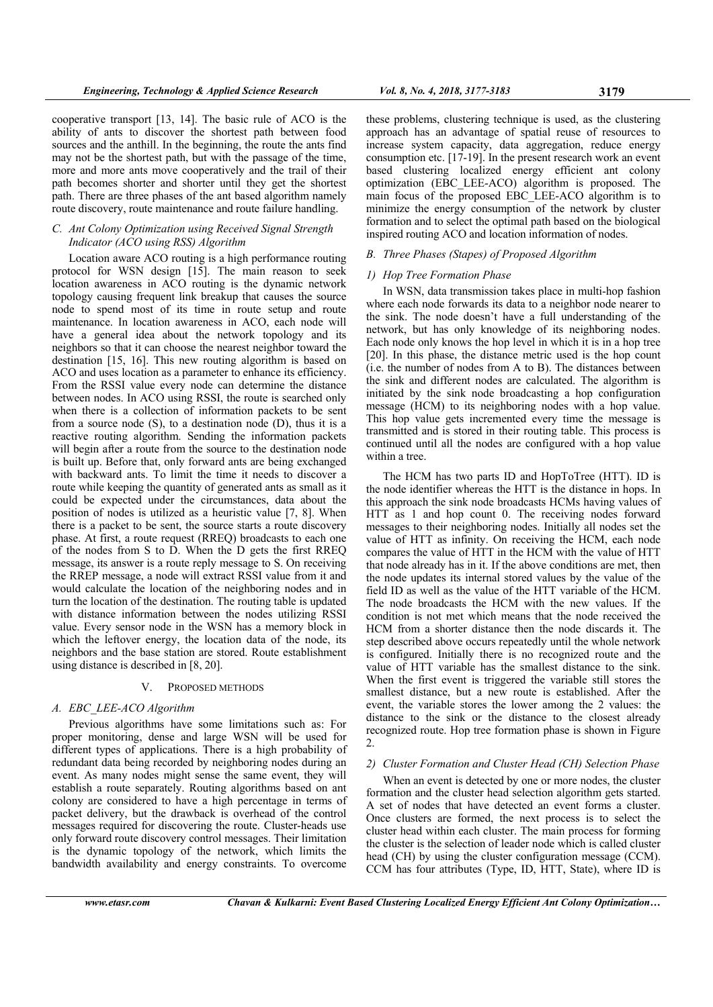cooperative transport [13, 14]. The basic rule of ACO is the ability of ants to discover the shortest path between food sources and the anthill. In the beginning, the route the ants find may not be the shortest path, but with the passage of the time, more and more ants move cooperatively and the trail of their path becomes shorter and shorter until they get the shortest path. There are three phases of the ant based algorithm namely route discovery, route maintenance and route failure handling.

# *C. Ant Colony Optimization using Received Signal Strength Indicator (ACO using RSS) Algorithm*

Location aware ACO routing is a high performance routing protocol for WSN design [15]. The main reason to seek location awareness in ACO routing is the dynamic network topology causing frequent link breakup that causes the source node to spend most of its time in route setup and route maintenance. In location awareness in ACO, each node will have a general idea about the network topology and its neighbors so that it can choose the nearest neighbor toward the destination [15, 16]. This new routing algorithm is based on ACO and uses location as a parameter to enhance its efficiency. From the RSSI value every node can determine the distance between nodes. In ACO using RSSI, the route is searched only when there is a collection of information packets to be sent from a source node (S), to a destination node (D), thus it is a reactive routing algorithm. Sending the information packets will begin after a route from the source to the destination node is built up. Before that, only forward ants are being exchanged with backward ants. To limit the time it needs to discover a route while keeping the quantity of generated ants as small as it could be expected under the circumstances, data about the position of nodes is utilized as a heuristic value [7, 8]. When there is a packet to be sent, the source starts a route discovery phase. At first, a route request (RREQ) broadcasts to each one of the nodes from S to D. When the D gets the first RREQ message, its answer is a route reply message to S. On receiving the RREP message, a node will extract RSSI value from it and would calculate the location of the neighboring nodes and in turn the location of the destination. The routing table is updated with distance information between the nodes utilizing RSSI value. Every sensor node in the WSN has a memory block in which the leftover energy, the location data of the node, its neighbors and the base station are stored. Route establishment using distance is described in [8, 20].

#### V. PROPOSED METHODS

#### *A. EBC\_LEE-ACO Algorithm*

Previous algorithms have some limitations such as: For proper monitoring, dense and large WSN will be used for different types of applications. There is a high probability of redundant data being recorded by neighboring nodes during an event. As many nodes might sense the same event, they will establish a route separately. Routing algorithms based on ant colony are considered to have a high percentage in terms of packet delivery, but the drawback is overhead of the control messages required for discovering the route. Cluster-heads use only forward route discovery control messages. Their limitation is the dynamic topology of the network, which limits the bandwidth availability and energy constraints. To overcome

these problems, clustering technique is used, as the clustering approach has an advantage of spatial reuse of resources to increase system capacity, data aggregation, reduce energy consumption etc. [17-19]. In the present research work an event based clustering localized energy efficient ant colony optimization (EBC\_LEE-ACO) algorithm is proposed. The main focus of the proposed EBC LEE-ACO algorithm is to minimize the energy consumption of the network by cluster formation and to select the optimal path based on the biological inspired routing ACO and location information of nodes.

#### *B. Three Phases (Stapes) of Proposed Algorithm*

#### *1) Hop Tree Formation Phase*

In WSN, data transmission takes place in multi-hop fashion where each node forwards its data to a neighbor node nearer to the sink. The node doesn't have a full understanding of the network, but has only knowledge of its neighboring nodes. Each node only knows the hop level in which it is in a hop tree [20]. In this phase, the distance metric used is the hop count (i.e. the number of nodes from A to B). The distances between the sink and different nodes are calculated. The algorithm is initiated by the sink node broadcasting a hop configuration message (HCM) to its neighboring nodes with a hop value. This hop value gets incremented every time the message is transmitted and is stored in their routing table. This process is continued until all the nodes are configured with a hop value within a tree.

The HCM has two parts ID and HopToTree (HTT). ID is the node identifier whereas the HTT is the distance in hops. In this approach the sink node broadcasts HCMs having values of HTT as 1 and hop count 0. The receiving nodes forward messages to their neighboring nodes. Initially all nodes set the value of HTT as infinity. On receiving the HCM, each node compares the value of HTT in the HCM with the value of HTT that node already has in it. If the above conditions are met, then the node updates its internal stored values by the value of the field ID as well as the value of the HTT variable of the HCM. The node broadcasts the HCM with the new values. If the condition is not met which means that the node received the HCM from a shorter distance then the node discards it. The step described above occurs repeatedly until the whole network is configured. Initially there is no recognized route and the value of HTT variable has the smallest distance to the sink. When the first event is triggered the variable still stores the smallest distance, but a new route is established. After the event, the variable stores the lower among the 2 values: the distance to the sink or the distance to the closest already recognized route. Hop tree formation phase is shown in Figure  $\mathcal{D}$ 

#### *2) Cluster Formation and Cluster Head (CH) Selection Phase*

When an event is detected by one or more nodes, the cluster formation and the cluster head selection algorithm gets started. A set of nodes that have detected an event forms a cluster. Once clusters are formed, the next process is to select the cluster head within each cluster. The main process for forming the cluster is the selection of leader node which is called cluster head (CH) by using the cluster configuration message (CCM). CCM has four attributes (Type, ID, HTT, State), where ID is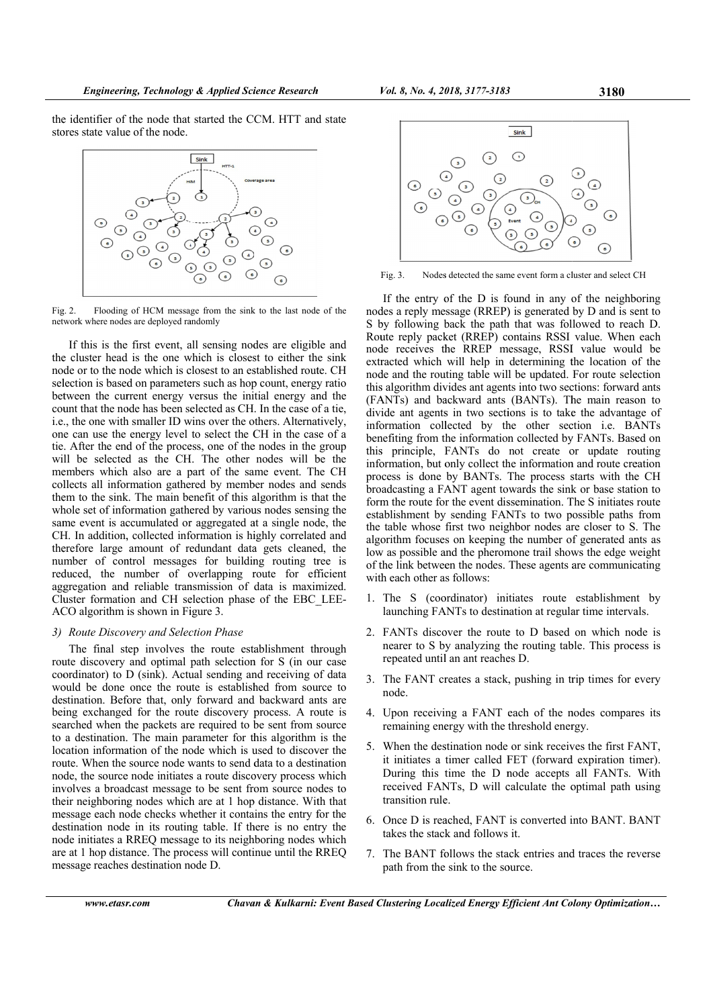the identifier of the node that started the CCM. HTT and state stores state value of the node.



Flooding of HCM message from the sink to the last node of the Fig.  $2$ . network where nodes are deployed randomly

If this is the first event, all sensing nodes are eligible and the cluster head is the one which is closest to either the sink node or to the node which is closest to an established route. CH selection is based on parameters such as hop count, energy ratio between the current energy versus the initial energy and the count that the node has been selected as CH. In the case of a tie, i.e., the one with smaller ID wins over the others. Alternatively, one can use the energy level to select the CH in the case of a tie. After the end of the process, one of the nodes in the group will be selected as the CH. The other nodes will be the members which also are a part of the same event. The CH collects all information gathered by member nodes and sends them to the sink. The main benefit of this algorithm is that the whole set of information gathered by various nodes sensing the same event is accumulated or aggregated at a single node, the CH. In addition, collected information is highly correlated and therefore large amount of redundant data gets cleaned, the number of control messages for building routing tree is reduced, the number of overlapping route for efficient aggregation and reliable transmission of data is maximized. Cluster formation and CH selection phase of the EBC LEE-ACO algorithm is shown in Figure 3.

#### 3) Route Discovery and Selection Phase

The final step involves the route establishment through route discovery and optimal path selection for S (in our case coordinator) to D (sink). Actual sending and receiving of data would be done once the route is established from source to destination. Before that, only forward and backward ants are being exchanged for the route discovery process. A route is searched when the packets are required to be sent from source to a destination. The main parameter for this algorithm is the location information of the node which is used to discover the route. When the source node wants to send data to a destination node, the source node initiates a route discovery process which involves a broadcast message to be sent from source nodes to their neighboring nodes which are at 1 hop distance. With that message each node checks whether it contains the entry for the destination node in its routing table. If there is no entry the node initiates a RREQ message to its neighboring nodes which are at 1 hop distance. The process will continue until the RREQ message reaches destination node D.



Fig. 3. Nodes detected the same event form a cluster and select CH

If the entry of the D is found in any of the neighboring nodes a reply message (RREP) is generated by D and is sent to S by following back the path that was followed to reach D. Route reply packet (RREP) contains RSSI value. When each node receives the RREP message, RSSI value would be extracted which will help in determining the location of the node and the routing table will be updated. For route selection this algorithm divides ant agents into two sections: forward ants (FANTs) and backward ants (BANTs). The main reason to divide ant agents in two sections is to take the advantage of information collected by the other section i.e. BANTs benefiting from the information collected by FANTs. Based on this principle, FANTs do not create or update routing information, but only collect the information and route creation process is done by BANTs. The process starts with the CH broadcasting a FANT agent towards the sink or base station to form the route for the event dissemination. The S initiates route establishment by sending FANTs to two possible paths from the table whose first two neighbor nodes are closer to S. The algorithm focuses on keeping the number of generated ants as low as possible and the pheromone trail shows the edge weight of the link between the nodes. These agents are communicating with each other as follows:

- 1. The S (coordinator) initiates route establishment by launching FANTs to destination at regular time intervals.
- 2. FANTs discover the route to D based on which node is nearer to S by analyzing the routing table. This process is repeated until an ant reaches D.
- 3. The FANT creates a stack, pushing in trip times for every node
- 4. Upon receiving a FANT each of the nodes compares its remaining energy with the threshold energy.
- 5. When the destination node or sink receives the first FANT, it initiates a timer called FET (forward expiration timer). During this time the D node accepts all FANTs. With received FANTs, D will calculate the optimal path using transition rule
- 6. Once D is reached, FANT is converted into BANT. BANT takes the stack and follows it.
- 7. The BANT follows the stack entries and traces the reverse path from the sink to the source.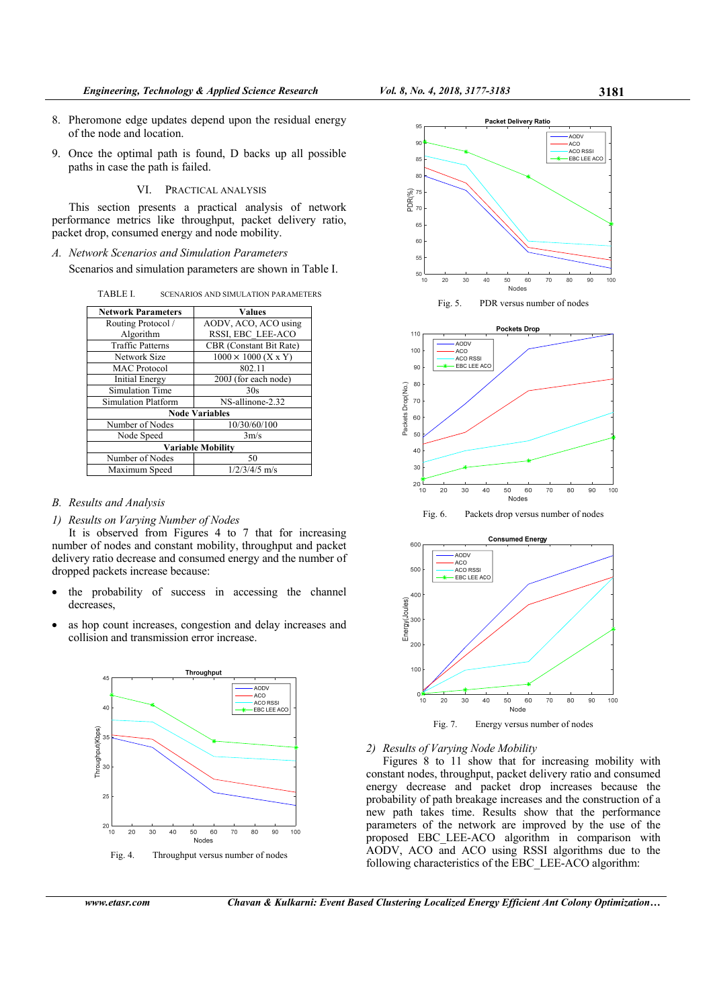- 8. Pheromone edge updates depend upon the residual energy of the node and location.
- 9. Once the optimal path is found, D backs up all possible paths in case the path is failed.

VI. PRACTICAL ANALYSIS

This section presents a practical analysis of network performance metrics like throughput, packet delivery ratio, packet drop, consumed energy and node mobility.

*A. Network Scenarios and Simulation Parameters* 

Scenarios and simulation parameters are shown in Table I.

TABLE I. SCENARIOS AND SIMULATION PARAMETERS

| <b>Network Parameters</b> | Values                     |
|---------------------------|----------------------------|
| Routing Protocol /        | AODV, ACO, ACO using       |
| Algorithm                 | RSSI, EBC LEE-ACO          |
| <b>Traffic Patterns</b>   | CBR (Constant Bit Rate)    |
| Network Size              | $1000 \times 1000$ (X x Y) |
| <b>MAC</b> Protocol       | 802.11                     |
| <b>Initial Energy</b>     | 200J (for each node)       |
| Simulation Time           | 30s                        |
| Simulation Platform       | NS-allinone-2.32           |
| <b>Node Variables</b>     |                            |
| Number of Nodes           | 10/30/60/100               |
| Node Speed                | 3m/s                       |
| <b>Variable Mobility</b>  |                            |
| Number of Nodes           | 50                         |
| Maximum Speed             | $1/2/3/4/5$ m/s            |

# *B. Results and Analysis*

*1) Results on Varying Number of Nodes* 

It is observed from Figures 4 to 7 that for increasing number of nodes and constant mobility, throughput and packet delivery ratio decrease and consumed energy and the number of dropped packets increase because:

- the probability of success in accessing the channel decreases,
- as hop count increases, congestion and delay increases and collision and transmission error increase.





Fig. 5. PDR versus number of nodes







*2) Results of Varying Node Mobility* 

Figures 8 to 11 show that for increasing mobility with constant nodes, throughput, packet delivery ratio and consumed energy decrease and packet drop increases because the probability of path breakage increases and the construction of a new path takes time. Results show that the performance parameters of the network are improved by the use of the proposed EBC\_LEE-ACO algorithm in comparison with AODV, ACO and ACO using RSSI algorithms due to the following characteristics of the EBC\_LEE-ACO algorithm: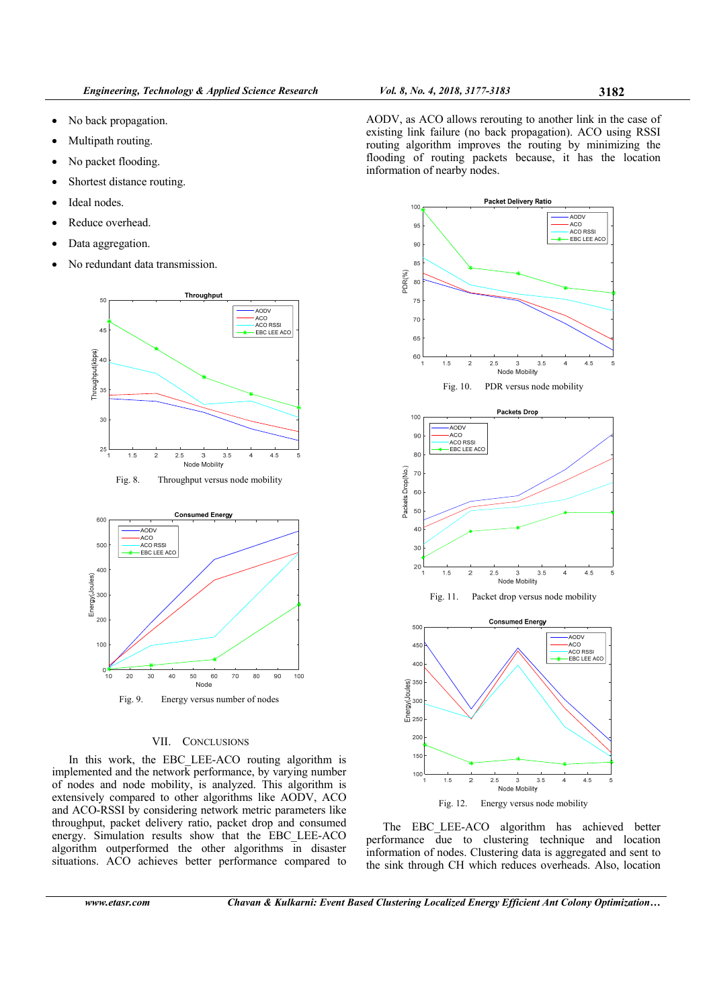- No back propagation.
- Multipath routing.
- No packet flooding.
- Shortest distance routing.
- Ideal nodes.
- Reduce overhead.
- Data aggregation.
- No redundant data transmission.



Fig. 8. Throughput versus node mobility



# VII. CONCLUSIONS

In this work, the EBC LEE-ACO routing algorithm is implemented and the network performance, by varying number of nodes and node mobility, is analyzed. This algorithm is extensively compared to other algorithms like AODV, ACO and ACO-RSSI by considering network metric parameters like throughput, packet delivery ratio, packet drop and consumed energy. Simulation results show that the EBC\_LEE-ACO algorithm outperformed the other algorithms in disaster situations. ACO achieves better performance compared to

AODV, as ACO allows rerouting to another link in the case of existing link failure (no back propagation). ACO using RSSI routing algorithm improves the routing by minimizing the flooding of routing packets because, it has the location information of nearby nodes.



The EBC LEE-ACO algorithm has achieved better performance due to clustering technique and location information of nodes. Clustering data is aggregated and sent to the sink through CH which reduces overheads. Also, location